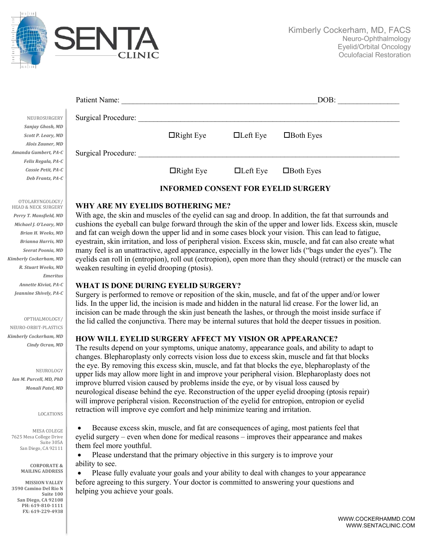

|                    | Patient Name:                              |                  |                 | DOB:             |  |  |
|--------------------|--------------------------------------------|------------------|-----------------|------------------|--|--|
| NEUROSURGERY       | Surgical Procedure:                        |                  |                 |                  |  |  |
| Sanjay Ghosh, MD   |                                            |                  |                 |                  |  |  |
| Scott P. Leary, MD |                                            | $\Box$ Right Eye | $\Box$ Left Eye | $\Box$ Both Eyes |  |  |
| Alois Zauner, MD   |                                            |                  |                 |                  |  |  |
| nda Gumbert, PA-C  | Surgical Procedure:                        |                  |                 |                  |  |  |
| Felix Regala, PA-C |                                            |                  |                 |                  |  |  |
| Cassie Petit, PA-C |                                            | $\Box$ Right Eye | $\Box$ Left Eye | $\Box$ Both Eyes |  |  |
| Deb Frantz, PA-C   |                                            |                  |                 |                  |  |  |
|                    | <b>INFORMED CONSENT FOR EYELID SURGERY</b> |                  |                 |                  |  |  |

# **WHY ARE MY EYELIDS BOTHERING ME?**

With age, the skin and muscles of the eyelid can sag and droop. In addition, the fat that surrounds and cushions the eyeball can bulge forward through the skin of the upper and lower lids. Excess skin, muscle and fat can weigh down the upper lid and in some cases block your vision. This can lead to fatigue, eyestrain, skin irritation, and loss of peripheral vision. Excess skin, muscle, and fat can also create what many feel is an unattractive, aged appearance, especially in the lower lids ("bags under the eyes"). The eyelids can roll in (entropion), roll out (ectropion), open more than they should (retract) or the muscle can weaken resulting in eyelid drooping (ptosis).

### **WHAT IS DONE DURING EYELID SURGERY?**

Surgery is performed to remove or reposition of the skin, muscle, and fat of the upper and/or lower lids. In the upper lid, the incision is made and hidden in the natural lid crease. For the lower lid, an incision can be made through the skin just beneath the lashes, or through the moist inside surface if the lid called the conjunctiva. There may be internal sutures that hold the deeper tissues in position.

### **HOW WILL EYELID SURGERY AFFECT MY VISION OR APPEARANCE?**

The results depend on your symptoms, unique anatomy, appearance goals, and ability to adapt to changes. Blepharoplasty only corrects vision loss due to excess skin, muscle and fat that blocks the eye. By removing this excess skin, muscle, and fat that blocks the eye, blepharoplasty of the upper lids may allow more light in and improve your peripheral vision. Blepharoplasty does not improve blurred vision caused by problems inside the eye, or by visual loss caused by neurological disease behind the eye. Reconstruction of the upper eyelid drooping (ptosis repair) will improve peripheral vision. Reconstruction of the eyelid for entropion, entropion or eyelid retraction will improve eye comfort and help minimize tearing and irritation.

• Because excess skin, muscle, and fat are consequences of aging, most patients feel that eyelid surgery – even when done for medical reasons – improves their appearance and makes them feel more youthful.

• Please understand that the primary objective in this surgery is to improve your ability to see.

• Please fully evaluate your goals and your ability to deal with changes to your appearance before agreeing to this surgery. Your doctor is committed to answering your questions and helping you achieve your goals.

OTOLARYNGOLOGY/ HEAD & NECK SURGERY Perry T. Mansfield, MD *Michael J. O'Leary, MD Brian H. Weeks, MD Brianna Harris, MD Seerat Poonia, MD Kimberly Cockerham, MD R. Stuart Weeks, MD Emeritus Annette Kiviat, PA-C* Jeannine Shively, PA-C

NEUROSURG Sanjay Ghosh, *Scott P. Leary, Alois Zauner. Amanda Gumbert, PA-C*

#### OPTHALMOLOGY/

NEURO-ORBIT-PLASTICS *Kimberly Cockerham, MD Cindy Ocran, MD*

NEUROLOGY *Ian M. Purcell, MD, PhD Monali Patel, MD*

LOCATIONS

MESA COLEGE 7625 Mesa College Drive Suite 305A San Diego, CA 92111

> **CORPORATE & MAILING ADDRESS**

**MISSION VALLEY 3590 Camino Del Rio N Suite 100 San Diego, CA 92108 PH: 619-810-1111 FX: 619-229-4938**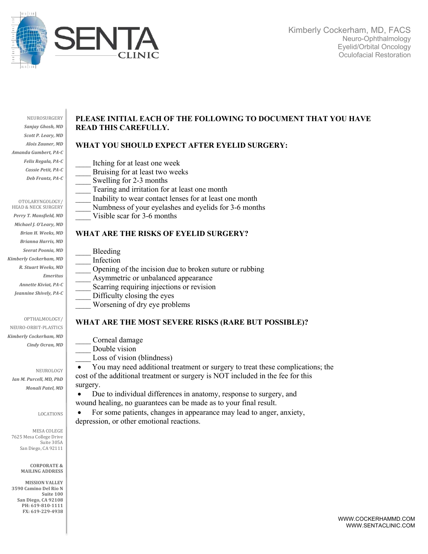

NEUROSURGERY Sanjay Ghosh, MD **Scott P. Leary, MD** *Alois Zauner, MD Amanda Gumbert, PA-C Felix Regala, PA-C Cassie Petit, PA-C Deb Frantz, PA-C*

#### OTOLARYNGOLOGY/

HEAD & NECK SURGERY Perry T. Mansfield, MD *Michael J. O'Leary, MD Brian H. Weeks, MD Brianna Harris, MD Seerat Poonia, MD Kimberly Cockerham, MD R. Stuart Weeks, MD Emeritus Annette Kiviat, PA-C* Jeannine Shively, PA-C

### OPTHALMOLOGY/

NEURO-ORBIT-PLASTICS *Kimberly Cockerham, MD Cindy Ocran, MD*

NEUROLOGY *Ian M. Purcell, MD, PhD Monali Patel, MD*

#### LOCATIONS

MESA COLEGE 7625 Mesa College Drive Suite 305A San Diego, CA 92111

> **CORPORATE & MAILING ADDRESS**

**MISSION VALLEY 3590 Camino Del Rio N Suite 100 San Diego, CA 92108 PH: 619-810-1111 FX: 619-229-4938**

# **PLEASE INITIAL EACH OF THE FOLLOWING TO DOCUMENT THAT YOU HAVE READ THIS CAREFULLY.**

# **WHAT YOU SHOULD EXPECT AFTER EYELID SURGERY:**

- Itching for at least one week
	- Bruising for at least two weeks
	- Swelling for 2-3 months
	- Tearing and irritation for at least one month
- Inability to wear contact lenses for at least one month
- Numbness of your eyelashes and eyelids for 3-6 months
- Visible scar for 3-6 months

# **WHAT ARE THE RISKS OF EYELID SURGERY?**

| Bleeding                                                |
|---------------------------------------------------------|
| Infection                                               |
| Opening of the incision due to broken suture or rubbing |
| Asymmetric or unbalanced appearance                     |
| Scarring requiring injections or revision               |
| Difficulty closing the eyes                             |
| Worsening of dry eye problems                           |

### **WHAT ARE THE MOST SEVERE RISKS (RARE BUT POSSIBLE)?**

- \_\_\_\_ Corneal damage Double vision
- Loss of vision (blindness)

• You may need additional treatment or surgery to treat these complications; the cost of the additional treatment or surgery is NOT included in the fee for this surgery.

• Due to individual differences in anatomy, response to surgery, and wound healing, no guarantees can be made as to your final result.

• For some patients, changes in appearance may lead to anger, anxiety, depression, or other emotional reactions.